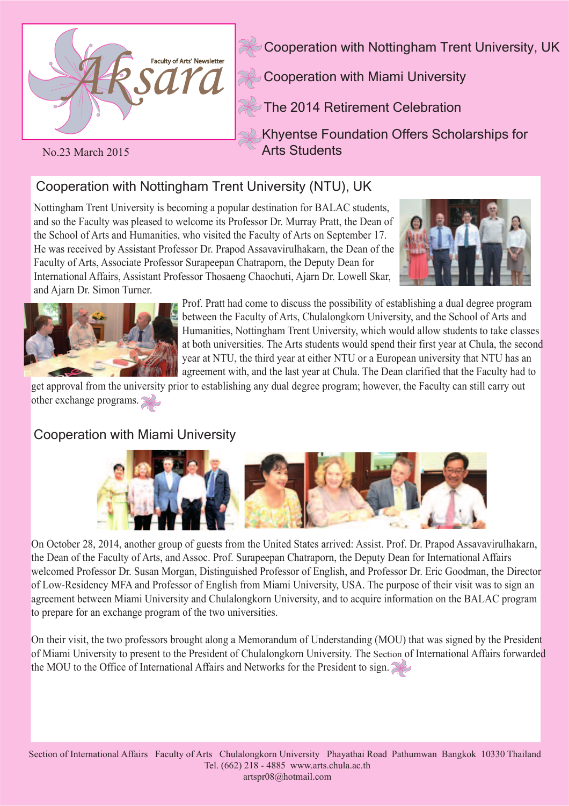

Cooperation with Nottingham Trent University, UK

Cooperation with Miami University

The 2014 Retirement Celebration

Khyentse Foundation Offers Scholarships for Arts Students

#### No.23 March 2015

# Cooperation with Nottingham Trent University (NTU), UK

Nottingham Trent University is becoming a popular destination for BALAC students, and so the Faculty was pleased to welcome its Professor Dr. Murray Pratt, the Dean of the School of Arts and Humanities, who visited the Faculty of Arts on September 17. He was received by Assistant Professor Dr. Prapod Assavavirulhakarn, the Dean of the Faculty of Arts, Associate Professor Surapeepan Chatraporn, the Deputy Dean for International Affairs, Assistant Professor Thosaeng Chaochuti, Ajarn Dr. Lowell Skar, and Ajarn Dr. Simon Turner.





Prof. Pratt had come to discuss the possibility of establishing a dual degree program between the Faculty of Arts, Chulalongkorn University, and the School of Arts and Humanities, Nottingham Trent University, which would allow students to take classes at both universities. The Arts students would spend their first year at Chula, the second year at NTU, the third year at either NTU or a European university that NTU has an agreement with, and the last year at Chula. The Dean clarified that the Faculty had to

get approval from the university prior to establishing any dual degree program; however, the Faculty can still carry out other exchange programs.

## Cooperation with Miami University



On October 28, 2014, another group of guests from the United States arrived: Assist. Prof. Dr. Prapod Assavavirulhakarn, the Dean of the Faculty of Arts, and Assoc. Prof. Surapeepan Chatraporn, the Deputy Dean for International Affairs welcomed Professor Dr. Susan Morgan, Distinguished Professor of English, and Professor Dr. Eric Goodman, the Director of Low-Residency MFA and Professor of English from Miami University, USA. The purpose of their visit was to sign an agreement between Miami University and Chulalongkorn University, and to acquire information on the BALAC program to prepare for an exchange program of the two universities.

On their visit, the two professors brought along a Memorandum of Understanding (MOU) that was signed by the President of Miami University to present to the President of Chulalongkorn University. The Section of International Affairs forwarded the MOU to the Office of International Affairs and Networks for the President to sign.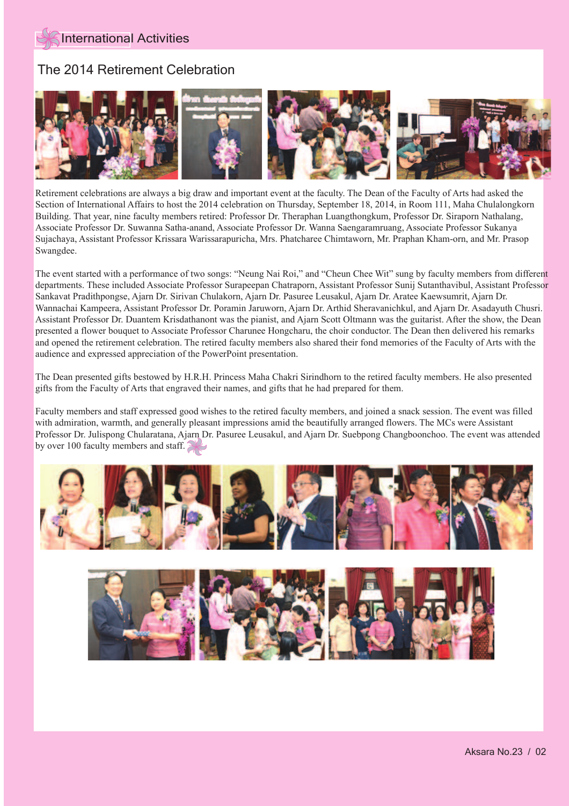## The 2014 Retirement Celebration



Retirement celebrations are always a big draw and important event at the faculty. The Dean of the Faculty of Arts had asked the Section of International Affairs to host the 2014 celebration on Thursday, September 18, 2014, in Room 111, Maha Chulalongkorn Building. That year, nine faculty members retired: Professor Dr. Theraphan Luangthongkum, Professor Dr. Siraporn Nathalang, Associate Professor Dr. Suwanna Satha-anand, Associate Professor Dr. Wanna Saengaramruang, Associate Professor Sukanya Sujachaya, Assistant Professor Krissara Warissarapuricha, Mrs. Phatcharee Chimtaworn, Mr. Praphan Kham-orn, and Mr. Prasop Swangdee.

The event started with a performance of two songs: "Neung Nai Roi," and "Cheun Chee Wit" sung by faculty members from different departments. These included Associate Professor Surapeepan Chatraporn, Assistant Professor Sunij Sutanthavibul, Assistant Professor Sankavat Pradithpongse, Ajarn Dr. Sirivan Chulakorn, Ajarn Dr. Pasuree Leusakul, Ajarn Dr. Aratee Kaewsumrit, Ajarn Dr. Wannachai Kampeera, Assistant Professor Dr. Poramin Jaruworn, Ajarn Dr. Arthid Sheravanichkul, and Ajarn Dr. Asadayuth Chusri. Assistant Professor Dr. Duantem Krisdathanont was the pianist, and Ajarn Scott Oltmann was the guitarist. After the show, the Dean presented a flower bouquet to Associate Professor Charunee Hongcharu, the choir conductor. The Dean then delivered his remarks and opened the retirement celebration. The retired faculty members also shared their fond memories of the Faculty of Arts with the audience and expressed appreciation of the PowerPoint presentation.

The Dean presented gifts bestowed by H.R.H. Princess Maha Chakri Sirindhorn to the retired faculty members. He also presented gifts from the Faculty of Arts that engraved their names, and gifts that he had prepared for them.

Faculty members and staff expressed good wishes to the retired faculty members, and joined a snack session. The event was filled with admiration, warmth, and generally pleasant impressions amid the beautifully arranged flowers. The MCs were Assistant Professor Dr. Julispong Chularatana, Ajarn Dr. Pasuree Leusakul, and Ajarn Dr. Suebpong Changboonchoo. The event was attended by over 100 faculty members and staff.